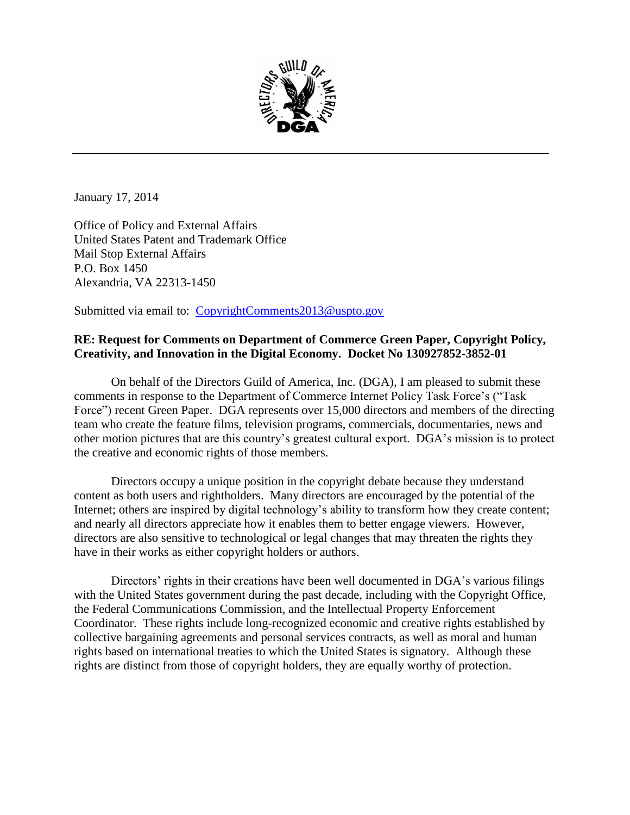

January 17, 2014

Office of Policy and External Affairs United States Patent and Trademark Office Mail Stop External Affairs P.O. Box 1450 Alexandria, VA 22313-1450

Submitted via email to: [CopyrightComments2013@uspto.gov](mailto:CopyrightComments2013@uspto.gov)

## **RE: Request for Comments on Department of Commerce Green Paper, Copyright Policy, Creativity, and Innovation in the Digital Economy. Docket No 130927852-3852-01**

On behalf of the Directors Guild of America, Inc. (DGA), I am pleased to submit these comments in response to the Department of Commerce Internet Policy Task Force's ("Task Force") recent Green Paper. DGA represents over 15,000 directors and members of the directing team who create the feature films, television programs, commercials, documentaries, news and other motion pictures that are this country's greatest cultural export. DGA's mission is to protect the creative and economic rights of those members.

Directors occupy a unique position in the copyright debate because they understand content as both users and rightholders. Many directors are encouraged by the potential of the Internet; others are inspired by digital technology's ability to transform how they create content; and nearly all directors appreciate how it enables them to better engage viewers. However, directors are also sensitive to technological or legal changes that may threaten the rights they have in their works as either copyright holders or authors.

Directors' rights in their creations have been well documented in DGA's various filings with the United States government during the past decade, including with the Copyright Office, the Federal Communications Commission, and the Intellectual Property Enforcement Coordinator. These rights include long-recognized economic and creative rights established by collective bargaining agreements and personal services contracts, as well as moral and human rights based on international treaties to which the United States is signatory. Although these rights are distinct from those of copyright holders, they are equally worthy of protection.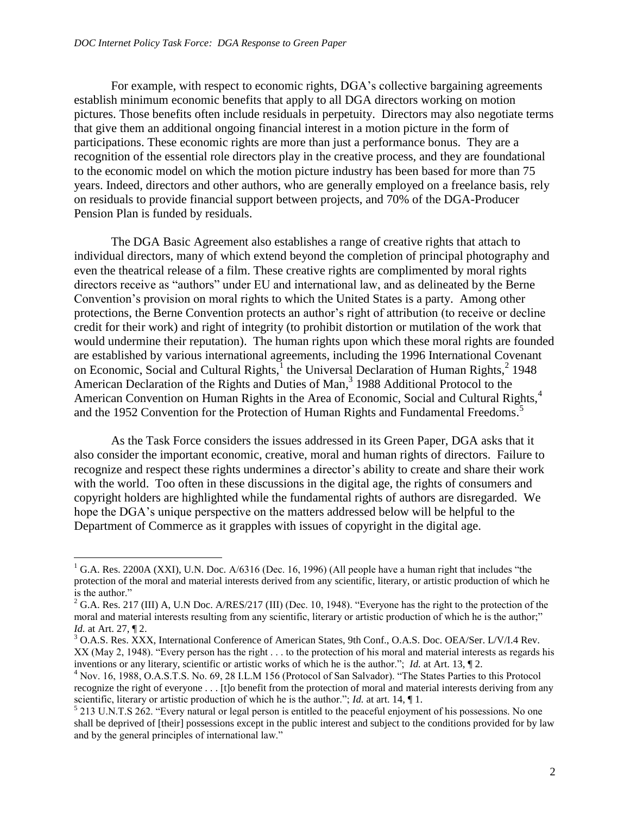l

For example, with respect to economic rights, DGA's collective bargaining agreements establish minimum economic benefits that apply to all DGA directors working on motion pictures. Those benefits often include residuals in perpetuity. Directors may also negotiate terms that give them an additional ongoing financial interest in a motion picture in the form of participations. These economic rights are more than just a performance bonus. They are a recognition of the essential role directors play in the creative process, and they are foundational to the economic model on which the motion picture industry has been based for more than 75 years. Indeed, directors and other authors, who are generally employed on a freelance basis, rely on residuals to provide financial support between projects, and 70% of the DGA-Producer Pension Plan is funded by residuals.

The DGA Basic Agreement also establishes a range of creative rights that attach to individual directors, many of which extend beyond the completion of principal photography and even the theatrical release of a film. These creative rights are complimented by moral rights directors receive as "authors" under EU and international law, and as delineated by the Berne Convention's provision on moral rights to which the United States is a party. Among other protections, the Berne Convention protects an author's right of attribution (to receive or decline credit for their work) and right of integrity (to prohibit distortion or mutilation of the work that would undermine their reputation). The human rights upon which these moral rights are founded are established by various international agreements, including the 1996 International Covenant on Economic, Social and Cultural Rights,  $\frac{1}{1}$  the Universal Declaration of Human Rights,  $\frac{2}{1948}$ American Declaration of the Rights and Duties of Man, 3 1988 Additional Protocol to the American Convention on Human Rights in the Area of Economic, Social and Cultural Rights,<sup>4</sup> and the 1952 Convention for the Protection of Human Rights and Fundamental Freedoms.<sup>5</sup>

As the Task Force considers the issues addressed in its Green Paper, DGA asks that it also consider the important economic, creative, moral and human rights of directors. Failure to recognize and respect these rights undermines a director's ability to create and share their work with the world. Too often in these discussions in the digital age, the rights of consumers and copyright holders are highlighted while the fundamental rights of authors are disregarded. We hope the DGA's unique perspective on the matters addressed below will be helpful to the Department of Commerce as it grapples with issues of copyright in the digital age.

<sup>&</sup>lt;sup>1</sup> G.A. Res. 2200A (XXI), U.N. Doc. A/6316 (Dec. 16, 1996) (All people have a human right that includes "the protection of the moral and material interests derived from any scientific, literary, or artistic production of which he is the author."

<sup>&</sup>lt;sup>2</sup> G.A. Res. 217 (III) A, U.N Doc. A/RES/217 (III) (Dec. 10, 1948). "Everyone has the right to the protection of the moral and material interests resulting from any scientific, literary or artistic production of which he is the author;" *Id.* at Art. 27, ¶ 2.

<sup>&</sup>lt;sup>3</sup> O.A.S. Res. XXX, International Conference of American States, 9th Conf., O.A.S. Doc. OEA/Ser. L/V/I.4 Rev. XX (May 2, 1948). "Every person has the right . . . to the protection of his moral and material interests as regards his inventions or any literary, scientific or artistic works of which he is the author."; *Id.* at Art. 13,  $\P$ 2.

<sup>4</sup> Nov. 16, 1988, O.A.S.T.S. No. 69, 28 I.L.M 156 (Protocol of San Salvador). "The States Parties to this Protocol recognize the right of everyone . . . [t]o benefit from the protection of moral and material interests deriving from any scientific, literary or artistic production of which he is the author."; *Id.* at art. 14,  $\P$ 1.

<sup>&</sup>lt;sup>5</sup> 213 U.N.T.S 262. "Every natural or legal person is entitled to the peaceful enjoyment of his possessions. No one shall be deprived of [their] possessions except in the public interest and subject to the conditions provided for by law and by the general principles of international law."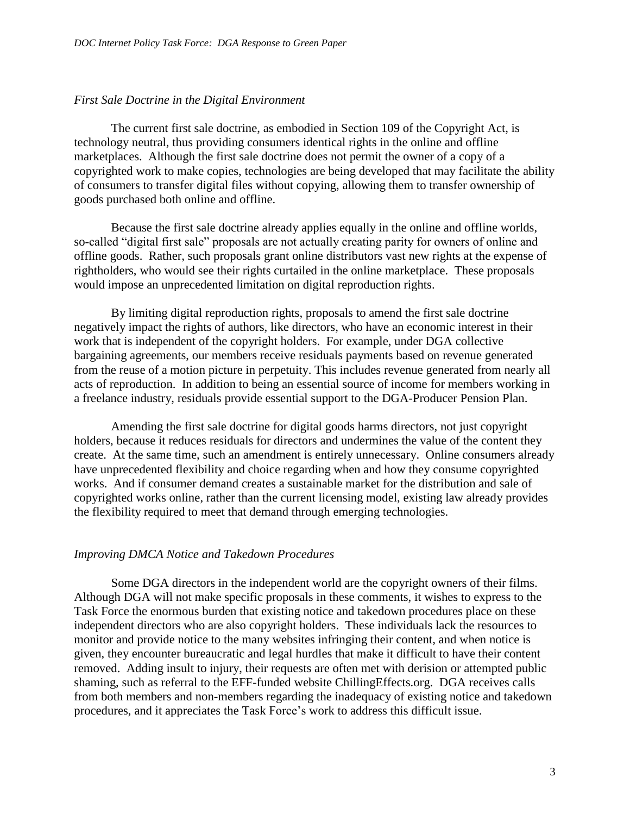## *First Sale Doctrine in the Digital Environment*

The current first sale doctrine, as embodied in Section 109 of the Copyright Act, is technology neutral, thus providing consumers identical rights in the online and offline marketplaces. Although the first sale doctrine does not permit the owner of a copy of a copyrighted work to make copies, technologies are being developed that may facilitate the ability of consumers to transfer digital files without copying, allowing them to transfer ownership of goods purchased both online and offline.

Because the first sale doctrine already applies equally in the online and offline worlds, so-called "digital first sale" proposals are not actually creating parity for owners of online and offline goods. Rather, such proposals grant online distributors vast new rights at the expense of rightholders, who would see their rights curtailed in the online marketplace. These proposals would impose an unprecedented limitation on digital reproduction rights.

By limiting digital reproduction rights, proposals to amend the first sale doctrine negatively impact the rights of authors, like directors, who have an economic interest in their work that is independent of the copyright holders. For example, under DGA collective bargaining agreements, our members receive residuals payments based on revenue generated from the reuse of a motion picture in perpetuity. This includes revenue generated from nearly all acts of reproduction. In addition to being an essential source of income for members working in a freelance industry, residuals provide essential support to the DGA-Producer Pension Plan.

Amending the first sale doctrine for digital goods harms directors, not just copyright holders, because it reduces residuals for directors and undermines the value of the content they create. At the same time, such an amendment is entirely unnecessary. Online consumers already have unprecedented flexibility and choice regarding when and how they consume copyrighted works. And if consumer demand creates a sustainable market for the distribution and sale of copyrighted works online, rather than the current licensing model, existing law already provides the flexibility required to meet that demand through emerging technologies.

## *Improving DMCA Notice and Takedown Procedures*

Some DGA directors in the independent world are the copyright owners of their films. Although DGA will not make specific proposals in these comments, it wishes to express to the Task Force the enormous burden that existing notice and takedown procedures place on these independent directors who are also copyright holders. These individuals lack the resources to monitor and provide notice to the many websites infringing their content, and when notice is given, they encounter bureaucratic and legal hurdles that make it difficult to have their content removed. Adding insult to injury, their requests are often met with derision or attempted public shaming, such as referral to the EFF-funded website ChillingEffects.org. DGA receives calls from both members and non-members regarding the inadequacy of existing notice and takedown procedures, and it appreciates the Task Force's work to address this difficult issue.